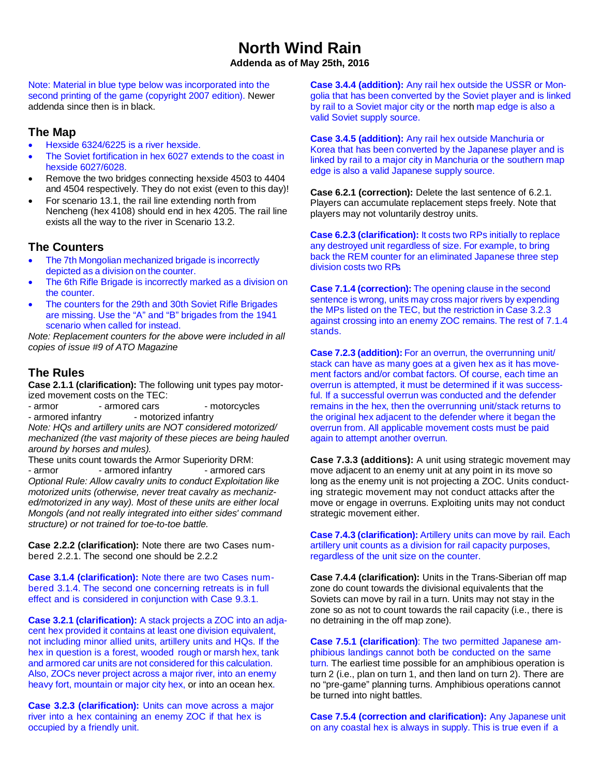# **North Wind Rain**

**Addenda as of May 25th, 2016**

Note: Material in blue type below was incorporated into the second printing of the game (copyright 2007 edition). Newer addenda since then is in black.

### **The Map**

- Hexside 6324/6225 is a river hexside.
- The Soviet fortification in hex 6027 extends to the coast in hexside 6027/6028.
- Remove the two bridges connecting hexside 4503 to 4404 and 4504 respectively. They do not exist (even to this day)!
- For scenario 13.1, the rail line extending north from Nencheng (hex 4108) should end in hex 4205. The rail line exists all the way to the river in Scenario 13.2.

### **The Counters**

- The 7th Mongolian mechanized brigade is incorrectly depicted as a division on the counter.
- The 6th Rifle Brigade is incorrectly marked as a division on the counter.
- The counters for the 29th and 30th Soviet Rifle Brigades are missing. Use the "A" and "B" brigades from the 1941 scenario when called for instead.

*Note: Replacement counters for the above were included in all copies of issue #9 of ATO Magazine*

## **The Rules**

**Case 2.1.1 (clarification):** The following unit types pay motorized movement costs on the TEC:

- armor - armored cars - motorcycles - armored infantry **- motorized infantry** *Note: HQs and artillery units are NOT considered motorized/ mechanized (the vast majority of these pieces are being hauled around by horses and mules).*

These units count towards the Armor Superiority DRM: - armor - armored infantry - armored cars *Optional Rule: Allow cavalry units to conduct Exploitation like motorized units (otherwise, never treat cavalry as mechanized/motorized in any way). Most of these units are either local Mongols (and not really integrated into either sides' command structure) or not trained for toe-to-toe battle.*

**Case 2.2.2 (clarification):** Note there are two Cases numbered 2.2.1. The second one should be 2.2.2

**Case 3.1.4 (clarification):** Note there are two Cases numbered 3.1.4. The second one concerning retreats is in full effect and is considered in conjunction with Case 9.3.1.

**Case 3.2.1 (clarification):** A stack projects a ZOC into an adjacent hex provided it contains at least one division equivalent, not including minor allied units, artillery units and HQs. If the hex in question is a forest, wooded rough or marsh hex, tank and armored car units are not considered for this calculation. Also, ZOCs never project across a major river, into an enemy heavy fort, mountain or major city hex, or into an ocean hex.

**Case 3.2.3 (clarification):** Units can move across a major river into a hex containing an enemy ZOC if that hex is occupied by a friendly unit.

**Case 3.4.4 (addition):** Any rail hex outside the USSR or Mongolia that has been converted by the Soviet player and is linked by rail to a Soviet major city or the north map edge is also a valid Soviet supply source.

**Case 3.4.5 (addition):** Any rail hex outside Manchuria or Korea that has been converted by the Japanese player and is linked by rail to a major city in Manchuria or the southern map edge is also a valid Japanese supply source.

**Case 6.2.1 (correction):** Delete the last sentence of 6.2.1. Players can accumulate replacement steps freely. Note that players may not voluntarily destroy units.

**Case 6.2.3 (clarification):** It costs two RPs initially to replace any destroyed unit regardless of size. For example, to bring back the REM counter for an eliminated Japanese three step division costs two RPs.

**Case 7.1.4 (correction):** The opening clause in the second sentence is wrong, units may cross major rivers by expending the MPs listed on the TEC, but the restriction in Case 3.2.3 against crossing into an enemy ZOC remains. The rest of 7.1.4 stands.

**Case 7.2.3 (addition):** For an overrun, the overrunning unit/ stack can have as many goes at a given hex as it has movement factors and/or combat factors. Of course, each time an overrun is attempted, it must be determined if it was successful. If a successful overrun was conducted and the defender remains in the hex, then the overrunning unit/stack returns to the original hex adjacent to the defender where it began the overrun from. All applicable movement costs must be paid again to attempt another overrun.

**Case 7.3.3 (additions):** A unit using strategic movement may move adjacent to an enemy unit at any point in its move so long as the enemy unit is not projecting a ZOC. Units conducting strategic movement may not conduct attacks after the move or engage in overruns. Exploiting units may not conduct strategic movement either.

**Case 7.4.3 (clarification):** Artillery units can move by rail. Each artillery unit counts as a division for rail capacity purposes, regardless of the unit size on the counter.

**Case 7.4.4 (clarification):** Units in the Trans-Siberian off map zone do count towards the divisional equivalents that the Soviets can move by rail in a turn. Units may not stay in the zone so as not to count towards the rail capacity (i.e., there is no detraining in the off map zone).

**Case 7.5.1 (clarification)**: The two permitted Japanese amphibious landings cannot both be conducted on the same turn. The earliest time possible for an amphibious operation is turn 2 (i.e., plan on turn 1, and then land on turn 2). There are no "pre-game" planning turns. Amphibious operations cannot be turned into night battles.

**Case 7.5.4 (correction and clarification):** Any Japanese unit on any coastal hex is always in supply. This is true even if a